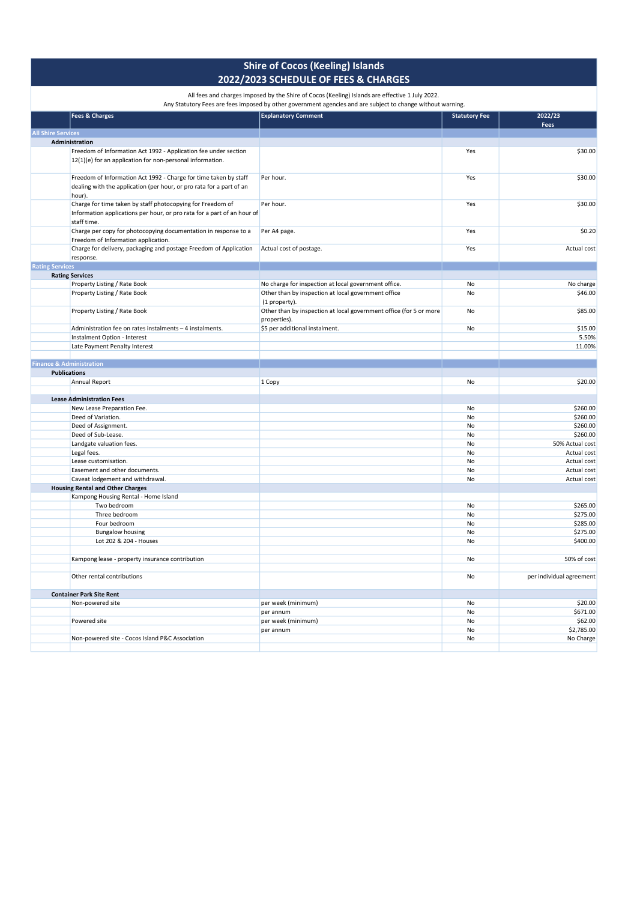| $\sim$ and charges imposed by the sime or cocos fiteeing, islands are encodive 2 say 20<br>Any Statutory Fees are fees imposed by other government agencies and are subject to change without warning. |                                                                                    |                      |                          |
|--------------------------------------------------------------------------------------------------------------------------------------------------------------------------------------------------------|------------------------------------------------------------------------------------|----------------------|--------------------------|
| <b>Fees &amp; Charges</b>                                                                                                                                                                              | <b>Explanatory Comment</b>                                                         | <b>Statutory Fee</b> | 2022/23<br>Fees          |
| <b>All Shire Services</b>                                                                                                                                                                              |                                                                                    |                      |                          |
| Administration                                                                                                                                                                                         |                                                                                    |                      |                          |
| Freedom of Information Act 1992 - Application fee under section<br>12(1)(e) for an application for non-personal information.                                                                           |                                                                                    | Yes                  | \$30.00                  |
| Freedom of Information Act 1992 - Charge for time taken by staff<br>dealing with the application (per hour, or pro rata for a part of an<br>hour).                                                     | Per hour.                                                                          | Yes                  | \$30.00                  |
| Charge for time taken by staff photocopying for Freedom of<br>Information applications per hour, or pro rata for a part of an hour of<br>staff time.                                                   | Per hour.                                                                          | Yes                  | \$30.00                  |
| Charge per copy for photocopying documentation in response to a<br>Freedom of Information application.                                                                                                 | Per A4 page.                                                                       | Yes                  | \$0.20                   |
| Charge for delivery, packaging and postage Freedom of Application<br>response.                                                                                                                         | Actual cost of postage.                                                            | Yes                  | Actual cost              |
| <b>Rating Services</b>                                                                                                                                                                                 |                                                                                    |                      |                          |
| <b>Rating Services</b>                                                                                                                                                                                 |                                                                                    |                      |                          |
| Property Listing / Rate Book                                                                                                                                                                           | No charge for inspection at local government office.                               | No                   | No charge                |
| Property Listing / Rate Book                                                                                                                                                                           | Other than by inspection at local government office<br>(1 property).               | No                   | \$46.00                  |
| Property Listing / Rate Book                                                                                                                                                                           | Other than by inspection at local government office (for 5 or more<br>properties). | No                   | \$85.00                  |
| Administration fee on rates instalments - 4 instalments.                                                                                                                                               | \$5 per additional instalment.                                                     | No                   | \$15.00                  |
| Instalment Option - Interest                                                                                                                                                                           |                                                                                    |                      | 5.50%                    |
| Late Payment Penalty Interest                                                                                                                                                                          |                                                                                    |                      | 11.00%                   |
|                                                                                                                                                                                                        |                                                                                    |                      |                          |
| <b>Finance &amp; Administration</b>                                                                                                                                                                    |                                                                                    |                      |                          |
| <b>Publications</b>                                                                                                                                                                                    |                                                                                    |                      |                          |
| Annual Report                                                                                                                                                                                          | 1 Copy                                                                             | No                   | \$20.00                  |
| <b>Lease Administration Fees</b>                                                                                                                                                                       |                                                                                    |                      |                          |
| New Lease Preparation Fee.                                                                                                                                                                             |                                                                                    | No                   | \$260.00                 |
| Deed of Variation.                                                                                                                                                                                     |                                                                                    | No                   | \$260.00                 |
| Deed of Assignment.                                                                                                                                                                                    |                                                                                    | No                   | \$260.00                 |
| Deed of Sub-Lease.                                                                                                                                                                                     |                                                                                    | No                   | \$260.00                 |
| Landgate valuation fees.                                                                                                                                                                               |                                                                                    | No                   | 50% Actual cost          |
| Legal fees.                                                                                                                                                                                            |                                                                                    | No                   | Actual cost              |
| Lease customisation.                                                                                                                                                                                   |                                                                                    | No                   | Actual cost              |
| Easement and other documents.                                                                                                                                                                          |                                                                                    | No                   | Actual cost              |
| Caveat lodgement and withdrawal.                                                                                                                                                                       |                                                                                    | No                   | Actual cost              |
| <b>Housing Rental and Other Charges</b>                                                                                                                                                                |                                                                                    |                      |                          |
| Kampong Housing Rental - Home Island                                                                                                                                                                   |                                                                                    |                      |                          |
| Two bedroom                                                                                                                                                                                            |                                                                                    | No                   | \$265.00                 |
| Three bedroom                                                                                                                                                                                          |                                                                                    | No                   | \$275.00                 |
| Four bedroom                                                                                                                                                                                           |                                                                                    | No                   | \$285.00                 |
| <b>Bungalow housing</b>                                                                                                                                                                                |                                                                                    | No                   | \$275.00                 |
| Lot 202 & 204 - Houses                                                                                                                                                                                 |                                                                                    | No                   | \$400.00                 |
|                                                                                                                                                                                                        |                                                                                    |                      |                          |
| Kampong lease - property insurance contribution                                                                                                                                                        |                                                                                    | No                   | 50% of cost              |
| Other rental contributions                                                                                                                                                                             |                                                                                    | No                   | per individual agreement |
| <b>Container Park Site Rent</b>                                                                                                                                                                        |                                                                                    |                      |                          |
| Non-powered site                                                                                                                                                                                       | per week (minimum)                                                                 | No                   | \$20.00                  |
|                                                                                                                                                                                                        | per annum                                                                          | No                   | \$671.00                 |
| Powered site                                                                                                                                                                                           | per week (minimum)                                                                 | No                   | \$62.00                  |
|                                                                                                                                                                                                        | per annum                                                                          | No                   | \$2,785.00               |
| Non-powered site - Cocos Island P&C Association                                                                                                                                                        |                                                                                    | No                   | No Charge                |
|                                                                                                                                                                                                        |                                                                                    |                      |                          |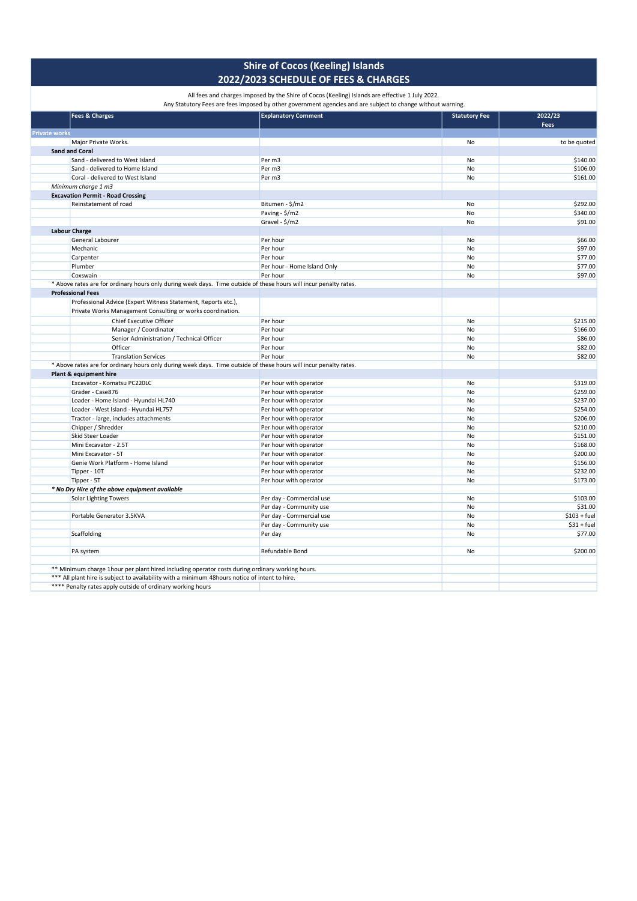All fees and charges imposed by the Shire of Cocos (Keeling) Islands are effective 1 July 2022.

| <b>Fees &amp; Charges</b>                                                                                         | <b>Explanatory Comment</b>  | <b>Statutory Fee</b> | 2022/23       |
|-------------------------------------------------------------------------------------------------------------------|-----------------------------|----------------------|---------------|
|                                                                                                                   |                             |                      | Fees          |
| <b>Private works</b>                                                                                              |                             |                      |               |
| Major Private Works.                                                                                              |                             | No                   | to be quoted  |
| <b>Sand and Coral</b>                                                                                             |                             |                      |               |
| Sand - delivered to West Island                                                                                   | Per m3                      | No                   | \$140.00      |
| Sand - delivered to Home Island                                                                                   | Per m3                      | No                   | \$106.00      |
| Coral - delivered to West Island                                                                                  | Per m3                      | No                   | \$161.00      |
| Minimum charge 1 m3                                                                                               |                             |                      |               |
| <b>Excavation Permit - Road Crossing</b>                                                                          |                             |                      |               |
| Reinstatement of road                                                                                             | Bitumen - \$/m2             | No                   | \$292.00      |
|                                                                                                                   | Paving - \$/m2              | No                   | \$340.00      |
|                                                                                                                   | Gravel - \$/m2              | No                   | \$91.00       |
| <b>Labour Charge</b>                                                                                              |                             |                      |               |
| General Labourer                                                                                                  | Per hour                    | No                   | \$66.00       |
| Mechanic                                                                                                          | Per hour                    | No                   | \$97.00       |
| Carpenter                                                                                                         | Per hour                    | No                   | \$77.00       |
| Plumber                                                                                                           | Per hour - Home Island Only | No                   | \$77.00       |
| Coxswain                                                                                                          | Per hour                    | No                   | \$97.00       |
| * Above rates are for ordinary hours only during week days. Time outside of these hours will incur penalty rates. |                             |                      |               |
| <b>Professional Fees</b>                                                                                          |                             |                      |               |
| Professional Advice (Expert Witness Statement, Reports etc.),                                                     |                             |                      |               |
| Private Works Management Consulting or works coordination.                                                        |                             |                      |               |
| Chief Executive Officer                                                                                           | Per hour                    | No                   | \$215.00      |
| Manager / Coordinator                                                                                             | Per hour                    | No                   | \$166.00      |
| Senior Administration / Technical Officer                                                                         | Per hour                    | No                   | \$86.00       |
| Officer                                                                                                           | Per hour                    | No                   | \$82.00       |
| <b>Translation Services</b>                                                                                       | Per hour                    | No                   | \$82.00       |
| * Above rates are for ordinary hours only during week days. Time outside of these hours will incur penalty rates. |                             |                      |               |
| Plant & equipment hire                                                                                            |                             |                      |               |
| Excavator - Komatsu PC220LC                                                                                       | Per hour with operator      | No                   | \$319.00      |
| Grader - Case876                                                                                                  | Per hour with operator      | No                   | \$259.00      |
| Loader - Home Island - Hyundai HL740                                                                              | Per hour with operator      | No                   | \$237.00      |
|                                                                                                                   |                             |                      | \$254.00      |
| Loader - West Island - Hyundai HL757                                                                              | Per hour with operator      | No<br>No             | \$206.00      |
| Tractor - large, includes attachments                                                                             | Per hour with operator      |                      |               |
| Chipper / Shredder                                                                                                | Per hour with operator      | No                   | \$210.00      |
| Skid Steer Loader                                                                                                 | Per hour with operator      | No                   | \$151.00      |
| Mini Excavator - 2.5T                                                                                             | Per hour with operator      | No                   | \$168.00      |
| Mini Excavator - 5T                                                                                               | Per hour with operator      | No                   | \$200.00      |
| Genie Work Platform - Home Island                                                                                 | Per hour with operator      | No                   | \$156.00      |
| Tipper - 10T                                                                                                      | Per hour with operator      | No                   | \$232.00      |
| Tipper - 5T                                                                                                       | Per hour with operator      | No                   | \$173.00      |
| * No Dry Hire of the above equipment available                                                                    |                             |                      |               |
| <b>Solar Lighting Towers</b>                                                                                      | Per day - Commercial use    | No                   | \$103.00      |
|                                                                                                                   | Per day - Community use     | No                   | \$31.00       |
| Portable Generator 3.5KVA                                                                                         | Per day - Commercial use    | No                   | $$103 + fuel$ |
|                                                                                                                   | Per day - Community use     | No                   | $$31 + fuel$  |
| Scaffolding                                                                                                       | Per day                     | No                   | \$77.00       |
| PA system                                                                                                         | Refundable Bond             | No                   | \$200.00      |
|                                                                                                                   |                             |                      |               |

\*\*\*\* Penalty rates apply outside of ordinary working hours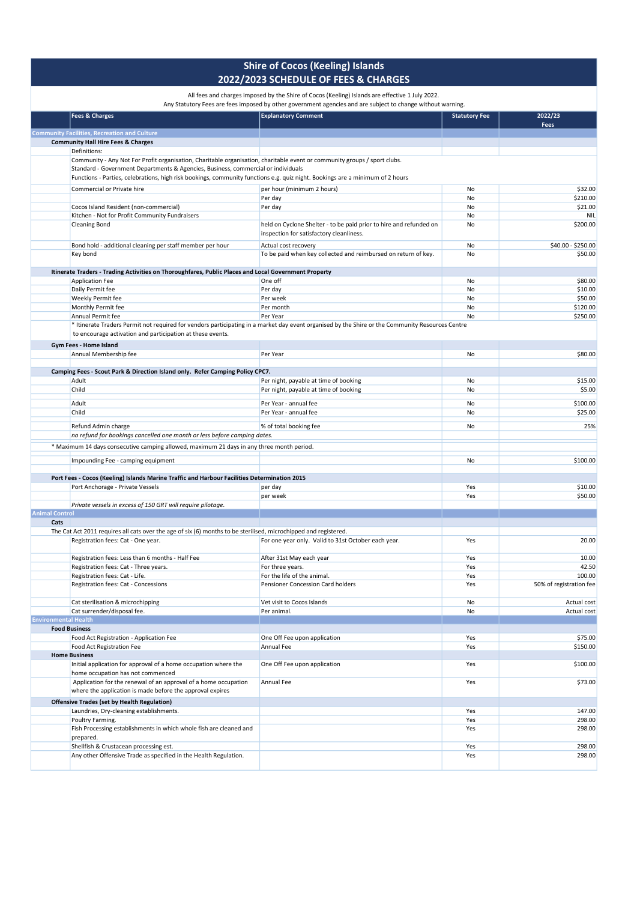|                             | All rees and charges imposed by the sime or Cocos (Reemig) islands are enective I July 2022.<br>Any Statutory Fees are fees imposed by other government agencies and are subject to change without warning. |                                                                                                                |                      |                               |  |
|-----------------------------|-------------------------------------------------------------------------------------------------------------------------------------------------------------------------------------------------------------|----------------------------------------------------------------------------------------------------------------|----------------------|-------------------------------|--|
|                             | <b>Fees &amp; Charges</b>                                                                                                                                                                                   | <b>Explanatory Comment</b>                                                                                     | <b>Statutory Fee</b> | 2022/23                       |  |
|                             |                                                                                                                                                                                                             |                                                                                                                |                      | Fees                          |  |
|                             | <b>Community Facilities, Recreation and Culture</b>                                                                                                                                                         |                                                                                                                |                      |                               |  |
|                             | <b>Community Hall Hire Fees &amp; Charges</b><br>Definitions:                                                                                                                                               |                                                                                                                |                      |                               |  |
|                             | Community - Any Not For Profit organisation, Charitable organisation, charitable event or community groups / sport clubs.                                                                                   |                                                                                                                |                      |                               |  |
|                             | Standard - Government Departments & Agencies, Business, commercial or individuals                                                                                                                           |                                                                                                                |                      |                               |  |
|                             | Functions - Parties, celebrations, high risk bookings, community functions e.g. quiz night. Bookings are a minimum of 2 hours                                                                               |                                                                                                                |                      |                               |  |
|                             | Commercial or Private hire                                                                                                                                                                                  | per hour (minimum 2 hours)                                                                                     | No                   | \$32.00                       |  |
|                             |                                                                                                                                                                                                             | Per day                                                                                                        | No                   | \$210.00                      |  |
|                             | Cocos Island Resident (non-commercial)                                                                                                                                                                      | Per day                                                                                                        | No                   | \$21.00                       |  |
|                             | Kitchen - Not for Profit Community Fundraisers                                                                                                                                                              |                                                                                                                | No                   | NIL                           |  |
|                             | <b>Cleaning Bond</b>                                                                                                                                                                                        | held on Cyclone Shelter - to be paid prior to hire and refunded on<br>inspection for satisfactory cleanliness. | No                   | \$200.00                      |  |
|                             | Bond hold - additional cleaning per staff member per hour<br>Key bond                                                                                                                                       | Actual cost recovery<br>To be paid when key collected and reimbursed on return of key.                         | No<br>No             | \$40.00 - \$250.00<br>\$50.00 |  |
|                             | Itinerate Traders - Trading Activities on Thoroughfares, Public Places and Local Government Property                                                                                                        |                                                                                                                |                      |                               |  |
|                             | <b>Application Fee</b>                                                                                                                                                                                      | One off                                                                                                        | No                   | \$80.00                       |  |
|                             | Daily Permit fee                                                                                                                                                                                            | Per day                                                                                                        | No                   | \$10.00                       |  |
|                             | Weekly Permit fee                                                                                                                                                                                           | Per week                                                                                                       | No                   | \$50.00                       |  |
|                             | Monthly Permit fee                                                                                                                                                                                          | Per month                                                                                                      | No                   | \$120.00                      |  |
|                             | Annual Permit fee                                                                                                                                                                                           | Per Year                                                                                                       | No                   | \$250.00                      |  |
|                             | * Itinerate Traders Permit not required for vendors participating in a market day event organised by the Shire or the Community Resources Centre                                                            |                                                                                                                |                      |                               |  |
|                             | to encourage activation and participation at these events.                                                                                                                                                  |                                                                                                                |                      |                               |  |
|                             | Gym Fees - Home Island                                                                                                                                                                                      |                                                                                                                |                      |                               |  |
|                             | Annual Membership fee                                                                                                                                                                                       | Per Year                                                                                                       | No                   | \$80.00                       |  |
|                             |                                                                                                                                                                                                             |                                                                                                                |                      |                               |  |
|                             | Camping Fees - Scout Park & Direction Island only. Refer Camping Policy CPC7.                                                                                                                               |                                                                                                                |                      |                               |  |
|                             | Adult                                                                                                                                                                                                       | Per night, payable at time of booking                                                                          | No                   | \$15.00                       |  |
|                             | Child                                                                                                                                                                                                       | Per night, payable at time of booking                                                                          | No                   | \$5.00                        |  |
|                             | Adult                                                                                                                                                                                                       | Per Year - annual fee                                                                                          | No                   | \$100.00                      |  |
|                             | Child                                                                                                                                                                                                       | Per Year - annual fee                                                                                          | No                   | \$25.00                       |  |
|                             |                                                                                                                                                                                                             |                                                                                                                |                      |                               |  |
|                             | Refund Admin charge                                                                                                                                                                                         | % of total booking fee                                                                                         | No                   | 25%                           |  |
|                             | no refund for bookings cancelled one month or less before camping dates.                                                                                                                                    |                                                                                                                |                      |                               |  |
|                             | * Maximum 14 days consecutive camping allowed, maximum 21 days in any three month period.                                                                                                                   |                                                                                                                |                      |                               |  |
|                             | Impounding Fee - camping equipment                                                                                                                                                                          |                                                                                                                | No                   | \$100.00                      |  |
|                             |                                                                                                                                                                                                             |                                                                                                                |                      |                               |  |
|                             | Port Fees - Cocos (Keeling) Islands Marine Traffic and Harbour Facilities Determination 2015                                                                                                                |                                                                                                                |                      |                               |  |
|                             | Port Anchorage - Private Vessels                                                                                                                                                                            | per day                                                                                                        | Yes                  | \$10.00                       |  |
|                             |                                                                                                                                                                                                             | per week                                                                                                       | Yes                  | \$50.00                       |  |
|                             | Private vessels in excess of 150 GRT will require pilotage.                                                                                                                                                 |                                                                                                                |                      |                               |  |
| <b>Animal Control</b>       |                                                                                                                                                                                                             |                                                                                                                |                      |                               |  |
| Cats                        |                                                                                                                                                                                                             |                                                                                                                |                      |                               |  |
|                             | The Cat Act 2011 requires all cats over the age of six (6) months to be sterilised, microchipped and registered.                                                                                            |                                                                                                                |                      |                               |  |
|                             | Registration fees: Cat - One year.                                                                                                                                                                          | For one year only. Valid to 31st October each year.                                                            | Yes                  | 20.00                         |  |
|                             |                                                                                                                                                                                                             |                                                                                                                |                      |                               |  |
|                             | Registration fees: Less than 6 months - Half Fee                                                                                                                                                            | After 31st May each year                                                                                       | Yes                  | 10.00                         |  |
|                             | Registration fees: Cat - Three years.                                                                                                                                                                       | For three years.                                                                                               | Yes                  | 42.50                         |  |
|                             | Registration fees: Cat - Life.                                                                                                                                                                              | For the life of the animal.                                                                                    | Yes                  | 100.00                        |  |
|                             | Registration fees: Cat - Concessions                                                                                                                                                                        | Pensioner Concession Card holders                                                                              | Yes                  | 50% of registration fee       |  |
|                             |                                                                                                                                                                                                             |                                                                                                                |                      |                               |  |
|                             | Cat sterilisation & microchipping<br>Cat surrender/disposal fee.                                                                                                                                            | Vet visit to Cocos Islands                                                                                     | No                   | Actual cost                   |  |
| <b>Environmental Health</b> |                                                                                                                                                                                                             | Per animal.                                                                                                    | No                   | Actual cost                   |  |
|                             | <b>Food Business</b>                                                                                                                                                                                        |                                                                                                                |                      |                               |  |
|                             | Food Act Registration - Application Fee                                                                                                                                                                     | One Off Fee upon application                                                                                   | Yes                  | \$75.00                       |  |
|                             | Food Act Registration Fee                                                                                                                                                                                   | Annual Fee                                                                                                     | Yes                  | \$150.00                      |  |
|                             | <b>Home Business</b>                                                                                                                                                                                        |                                                                                                                |                      |                               |  |
|                             | Initial application for approval of a home occupation where the                                                                                                                                             | One Off Fee upon application                                                                                   | Yes                  | \$100.00                      |  |
|                             | home occupation has not commenced                                                                                                                                                                           |                                                                                                                |                      |                               |  |
|                             | Application for the renewal of an approval of a home occupation                                                                                                                                             | Annual Fee                                                                                                     | Yes                  | \$73.00                       |  |
|                             | where the application is made before the approval expires                                                                                                                                                   |                                                                                                                |                      |                               |  |
|                             | <b>Offensive Trades (set by Health Regulation)</b>                                                                                                                                                          |                                                                                                                |                      |                               |  |
|                             | Laundries, Dry-cleaning establishments.                                                                                                                                                                     |                                                                                                                | Yes                  | 147.00                        |  |
|                             | Poultry Farming.                                                                                                                                                                                            |                                                                                                                | Yes                  | 298.00                        |  |
|                             | Fish Processing establishments in which whole fish are cleaned and                                                                                                                                          |                                                                                                                | Yes                  | 298.00                        |  |
|                             | prepared.                                                                                                                                                                                                   |                                                                                                                |                      |                               |  |
|                             | Shellfish & Crustacean processing est.                                                                                                                                                                      |                                                                                                                | Yes                  | 298.00                        |  |
|                             | Any other Offensive Trade as specified in the Health Regulation.                                                                                                                                            |                                                                                                                | Yes                  | 298.00                        |  |
|                             |                                                                                                                                                                                                             |                                                                                                                |                      |                               |  |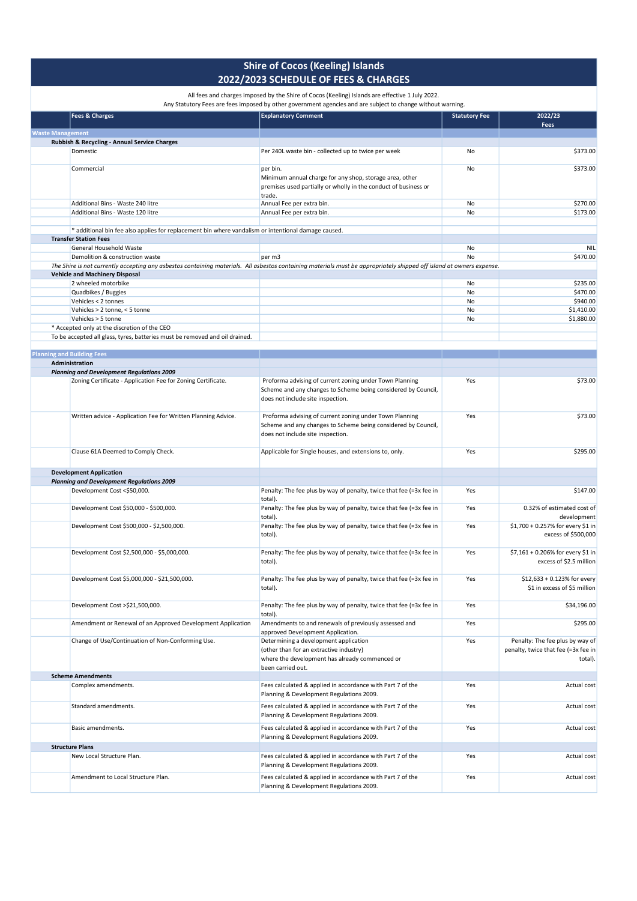|                         | <b>Fees &amp; Charges</b>                                                                                                                                             | Any Statutory Fees are fees imposed by other government agencies and are subject to change without warning.<br><b>Explanatory Comment</b>                     | <b>Statutory Fee</b> | 2022/23                                                                           |
|-------------------------|-----------------------------------------------------------------------------------------------------------------------------------------------------------------------|---------------------------------------------------------------------------------------------------------------------------------------------------------------|----------------------|-----------------------------------------------------------------------------------|
|                         |                                                                                                                                                                       |                                                                                                                                                               |                      | Fees                                                                              |
| <b>Waste Management</b> |                                                                                                                                                                       |                                                                                                                                                               |                      |                                                                                   |
|                         | Rubbish & Recycling - Annual Service Charges                                                                                                                          |                                                                                                                                                               |                      |                                                                                   |
|                         | Domestic                                                                                                                                                              | Per 240L waste bin - collected up to twice per week                                                                                                           | No                   | \$373.00                                                                          |
|                         | Commercial                                                                                                                                                            | per bin.<br>Minimum annual charge for any shop, storage area, other<br>premises used partially or wholly in the conduct of business or<br>trade.              | No                   | \$373.00                                                                          |
|                         | Additional Bins - Waste 240 litre                                                                                                                                     | Annual Fee per extra bin.                                                                                                                                     | No                   | \$270.00                                                                          |
|                         | Additional Bins - Waste 120 litre                                                                                                                                     | Annual Fee per extra bin.                                                                                                                                     | No                   | \$173.00                                                                          |
|                         |                                                                                                                                                                       |                                                                                                                                                               |                      |                                                                                   |
|                         | * additional bin fee also applies for replacement bin where vandalism or intentional damage caused.                                                                   |                                                                                                                                                               |                      |                                                                                   |
|                         | <b>Transfer Station Fees</b>                                                                                                                                          |                                                                                                                                                               |                      |                                                                                   |
|                         | <b>General Household Waste</b>                                                                                                                                        |                                                                                                                                                               | No                   | <b>NIL</b>                                                                        |
|                         | Demolition & construction waste                                                                                                                                       | per m3                                                                                                                                                        | No                   | \$470.00                                                                          |
|                         | The Shire is not currently accepting any asbestos containing materials. All asbestos containing materials must be appropriately shipped off island at owners expense. |                                                                                                                                                               |                      |                                                                                   |
|                         | <b>Vehicle and Machinery Disposal</b>                                                                                                                                 |                                                                                                                                                               |                      |                                                                                   |
|                         | 2 wheeled motorbike                                                                                                                                                   |                                                                                                                                                               | No                   | \$235.00                                                                          |
|                         | Quadbikes / Buggies                                                                                                                                                   |                                                                                                                                                               | No                   | \$470.00                                                                          |
|                         | Vehicles < 2 tonnes                                                                                                                                                   |                                                                                                                                                               | No                   | \$940.00                                                                          |
|                         | Vehicles > 2 tonne, < 5 tonne                                                                                                                                         |                                                                                                                                                               | No                   | \$1,410.00                                                                        |
|                         | Vehicles > 5 tonne                                                                                                                                                    |                                                                                                                                                               | No                   | \$1,880.00                                                                        |
|                         | * Accepted only at the discretion of the CEO                                                                                                                          |                                                                                                                                                               |                      |                                                                                   |
|                         | To be accepted all glass, tyres, batteries must be removed and oil drained.                                                                                           |                                                                                                                                                               |                      |                                                                                   |
|                         |                                                                                                                                                                       |                                                                                                                                                               |                      |                                                                                   |
|                         | <b>Planning and Building Fees</b>                                                                                                                                     |                                                                                                                                                               |                      |                                                                                   |
|                         | Administration<br><b>Planning and Development Regulations 2009</b>                                                                                                    |                                                                                                                                                               |                      |                                                                                   |
|                         | Zoning Certificate - Application Fee for Zoning Certificate.                                                                                                          |                                                                                                                                                               |                      | \$73.00                                                                           |
|                         |                                                                                                                                                                       | Proforma advising of current zoning under Town Planning<br>Scheme and any changes to Scheme being considered by Council,<br>does not include site inspection. | Yes                  |                                                                                   |
|                         | Written advice - Application Fee for Written Planning Advice.                                                                                                         | Proforma advising of current zoning under Town Planning<br>Scheme and any changes to Scheme being considered by Council,<br>does not include site inspection. | Yes                  | \$73.00                                                                           |
|                         | Clause 61A Deemed to Comply Check.                                                                                                                                    | Applicable for Single houses, and extensions to, only.                                                                                                        | Yes                  | \$295.00                                                                          |
|                         | <b>Development Application</b>                                                                                                                                        |                                                                                                                                                               |                      |                                                                                   |
|                         | <b>Planning and Development Regulations 2009</b>                                                                                                                      |                                                                                                                                                               |                      |                                                                                   |
|                         | Development Cost <\$50,000.                                                                                                                                           | Penalty: The fee plus by way of penalty, twice that fee (=3x fee in<br>total).                                                                                | Yes                  | \$147.00                                                                          |
|                         | Development Cost \$50,000 - \$500,000.                                                                                                                                | Penalty: The fee plus by way of penalty, twice that fee (=3x fee in<br>total).                                                                                | Yes                  | 0.32% of estimated cost of<br>development                                         |
|                         | Development Cost \$500,000 - \$2,500,000.                                                                                                                             | Penalty: The fee plus by way of penalty, twice that fee (=3x fee in<br>total).                                                                                | Yes                  | \$1,700 + 0.257% for every \$1 in<br>excess of \$500,000                          |
|                         | Development Cost \$2,500,000 - \$5,000,000.                                                                                                                           | Penalty: The fee plus by way of penalty, twice that fee (=3x fee in<br>total).                                                                                | Yes                  | \$7,161 + 0.206% for every \$1 in<br>excess of \$2.5 million                      |
|                         | Development Cost \$5,000,000 - \$21,500,000.                                                                                                                          | Penalty: The fee plus by way of penalty, twice that fee (=3x fee in<br>total).                                                                                | Yes                  | \$12.633 + 0.123% for every<br>\$1 in excess of \$5 million                       |
|                         | Development Cost >\$21,500,000.                                                                                                                                       | Penalty: The fee plus by way of penalty, twice that fee (=3x fee in<br>total).                                                                                | Yes                  | \$34,196.00                                                                       |
|                         | Amendment or Renewal of an Approved Development Application                                                                                                           | Amendments to and renewals of previously assessed and<br>approved Development Application.                                                                    | Yes                  | \$295.00                                                                          |
|                         | Change of Use/Continuation of Non-Conforming Use.                                                                                                                     | Determining a development application<br>(other than for an extractive industry)<br>where the development has already commenced or<br>been carried out.       | Yes                  | Penalty: The fee plus by way of<br>penalty, twice that fee (=3x fee in<br>total). |
|                         | <b>Scheme Amendments</b>                                                                                                                                              |                                                                                                                                                               |                      |                                                                                   |
|                         | Complex amendments.                                                                                                                                                   | Fees calculated & applied in accordance with Part 7 of the<br>Planning & Development Regulations 2009.                                                        | Yes                  | Actual cost                                                                       |
|                         | Standard amendments.                                                                                                                                                  | Fees calculated & applied in accordance with Part 7 of the<br>Planning & Development Regulations 2009.                                                        | Yes                  | Actual cost                                                                       |
|                         | Basic amendments.                                                                                                                                                     | Fees calculated & applied in accordance with Part 7 of the<br>Planning & Development Regulations 2009.                                                        | Yes                  | Actual cost                                                                       |
|                         | <b>Structure Plans</b>                                                                                                                                                |                                                                                                                                                               |                      |                                                                                   |
|                         | New Local Structure Plan.                                                                                                                                             | Fees calculated & applied in accordance with Part 7 of the<br>Planning & Development Regulations 2009.                                                        | Yes                  | Actual cost                                                                       |
|                         | Amendment to Local Structure Plan.                                                                                                                                    | Fees calculated & applied in accordance with Part 7 of the<br>Planning & Development Regulations 2009.                                                        | Yes                  | Actual cost                                                                       |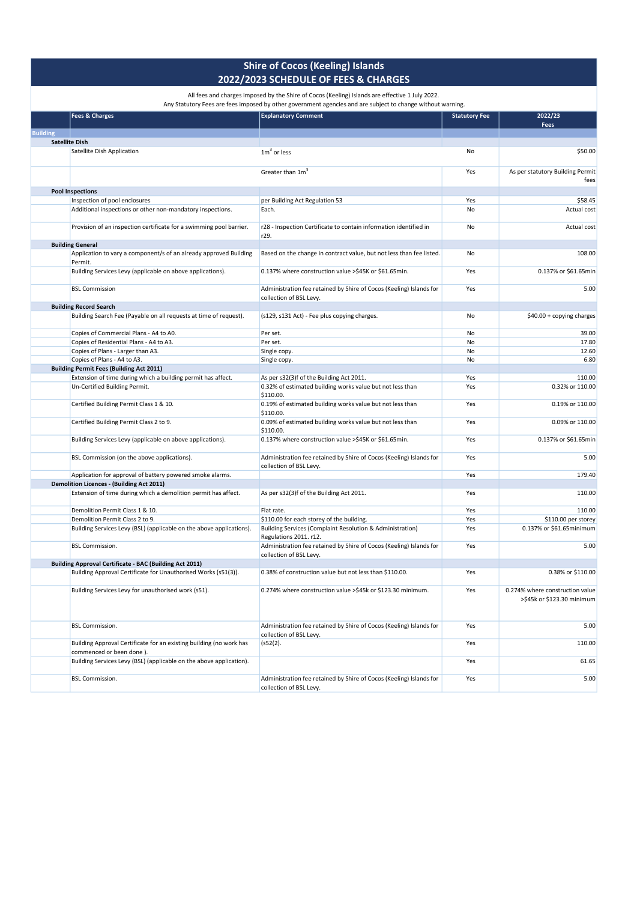|  | Any Statutory Fees are fees imposed by other government agencies and are subject to change without warni |  |
|--|----------------------------------------------------------------------------------------------------------|--|

|                 | Any Statutory Fees are fees imposed by other government agencies and are subject to change without warning. |                                                                                                |                      |                                                               |  |
|-----------------|-------------------------------------------------------------------------------------------------------------|------------------------------------------------------------------------------------------------|----------------------|---------------------------------------------------------------|--|
|                 | <b>Fees &amp; Charges</b>                                                                                   | <b>Explanatory Comment</b>                                                                     | <b>Statutory Fee</b> | 2022/23<br><b>Fees</b>                                        |  |
| <b>Building</b> |                                                                                                             |                                                                                                |                      |                                                               |  |
|                 | <b>Satellite Dish</b>                                                                                       |                                                                                                |                      |                                                               |  |
|                 | Satellite Dish Application                                                                                  | $1m3$ or less                                                                                  | No                   | \$50.00                                                       |  |
|                 |                                                                                                             | Greater than 1m <sup>3</sup>                                                                   | Yes                  | As per statutory Building Permit<br>fees                      |  |
|                 | <b>Pool Inspections</b>                                                                                     |                                                                                                |                      |                                                               |  |
|                 | Inspection of pool enclosures                                                                               | per Building Act Regulation 53                                                                 | Yes                  | \$58.45                                                       |  |
|                 | Additional inspections or other non-mandatory inspections.                                                  | Each.                                                                                          | No                   | Actual cost                                                   |  |
|                 | Provision of an inspection certificate for a swimming pool barrier.                                         | r28 - Inspection Certificate to contain information identified in                              | No                   | Actual cost                                                   |  |
|                 |                                                                                                             | r29.                                                                                           |                      |                                                               |  |
|                 | <b>Building General</b>                                                                                     |                                                                                                |                      |                                                               |  |
|                 | Application to vary a component/s of an already approved Building<br>Permit.                                | Based on the change in contract value, but not less than fee listed.                           | No                   | 108.00                                                        |  |
|                 | Building Services Levy (applicable on above applications).                                                  | 0.137% where construction value >\$45K or \$61.65min.                                          | Yes                  | 0.137% or \$61.65min                                          |  |
|                 | <b>BSL Commission</b>                                                                                       | Administration fee retained by Shire of Cocos (Keeling) Islands for<br>collection of BSL Levy. | Yes                  | 5.00                                                          |  |
|                 | <b>Building Record Search</b>                                                                               |                                                                                                |                      |                                                               |  |
|                 | Building Search Fee (Payable on all requests at time of request).                                           | (s129, s131 Act) - Fee plus copying charges.                                                   | No                   | \$40.00 + copying charges                                     |  |
|                 | Copies of Commercial Plans - A4 to A0.                                                                      | Per set.                                                                                       | No                   | 39.00                                                         |  |
|                 | Copies of Residential Plans - A4 to A3.                                                                     | Per set.                                                                                       | No                   | 17.80                                                         |  |
|                 | Copies of Plans - Larger than A3.                                                                           | Single copy.                                                                                   | No                   | 12.60                                                         |  |
|                 | Copies of Plans - A4 to A3.                                                                                 | Single copy.                                                                                   | No                   | 6.80                                                          |  |
|                 | <b>Building Permit Fees (Building Act 2011)</b>                                                             |                                                                                                |                      |                                                               |  |
|                 | Extension of time during which a building permit has affect.                                                | As per s32(3)f of the Building Act 2011.                                                       | Yes                  | 110.00                                                        |  |
|                 | Un-Certified Building Permit.                                                                               | 0.32% of estimated building works value but not less than<br>\$110.00.                         | Yes                  | 0.32% or 110.00                                               |  |
|                 | Certified Building Permit Class 1 & 10.                                                                     | 0.19% of estimated building works value but not less than<br>\$110.00.                         | Yes                  | 0.19% or 110.00                                               |  |
|                 | Certified Building Permit Class 2 to 9.                                                                     | 0.09% of estimated building works value but not less than<br>\$110.00.                         | Yes                  | 0.09% or 110.00                                               |  |
|                 | Building Services Levy (applicable on above applications).                                                  | 0.137% where construction value >\$45K or \$61.65min.                                          | Yes                  | 0.137% or \$61.65min                                          |  |
|                 | BSL Commission (on the above applications).                                                                 | Administration fee retained by Shire of Cocos (Keeling) Islands for<br>collection of BSL Levy. | Yes                  | 5.00                                                          |  |
|                 | Application for approval of battery powered smoke alarms.                                                   |                                                                                                | Yes                  | 179.40                                                        |  |
|                 | <b>Demolition Licences - (Building Act 2011)</b>                                                            |                                                                                                |                      |                                                               |  |
|                 | Extension of time during which a demolition permit has affect.                                              | As per s32(3)f of the Building Act 2011.                                                       | Yes                  | 110.00                                                        |  |
|                 | Demolition Permit Class 1 & 10.                                                                             | Flat rate.                                                                                     | Yes                  | 110.00                                                        |  |
|                 | Demolition Permit Class 2 to 9.                                                                             | \$110.00 for each storey of the building.                                                      | Yes                  | \$110.00 per storey                                           |  |
|                 | Building Services Levy (BSL) (applicable on the above applications).                                        | Building Services (Complaint Resolution & Administration)<br>Regulations 2011. r12.            | Yes                  | 0.137% or \$61.65minimum                                      |  |
|                 | <b>BSL Commission.</b>                                                                                      | Administration fee retained by Shire of Cocos (Keeling) Islands for<br>collection of BSL Levy. | Yes                  | 5.00                                                          |  |
|                 | <b>Building Approval Certificate - BAC (Building Act 2011)</b>                                              |                                                                                                |                      |                                                               |  |
|                 | Building Approval Certificate for Unauthorised Works (s51(3)).                                              | 0.38% of construction value but not less than \$110.00.                                        | Yes                  | 0.38% or \$110.00                                             |  |
|                 | Building Services Levy for unauthorised work (s51).                                                         | 0.274% where construction value >\$45k or \$123.30 minimum.                                    | Yes                  | 0.274% where construction value<br>>\$45k or \$123.30 minimum |  |
|                 | <b>BSL Commission.</b>                                                                                      | Administration fee retained by Shire of Cocos (Keeling) Islands for<br>collection of BSL Levy. | Yes                  | 5.00                                                          |  |
|                 | Building Approval Certificate for an existing building (no work has<br>commenced or been done).             | (s52(2).                                                                                       | Yes                  | 110.00                                                        |  |
|                 | Building Services Levy (BSL) (applicable on the above application).                                         |                                                                                                | Yes                  | 61.65                                                         |  |
|                 | <b>BSL Commission.</b>                                                                                      | Administration fee retained by Shire of Cocos (Keeling) Islands for<br>collection of BSL Levy. | Yes                  | 5.00                                                          |  |